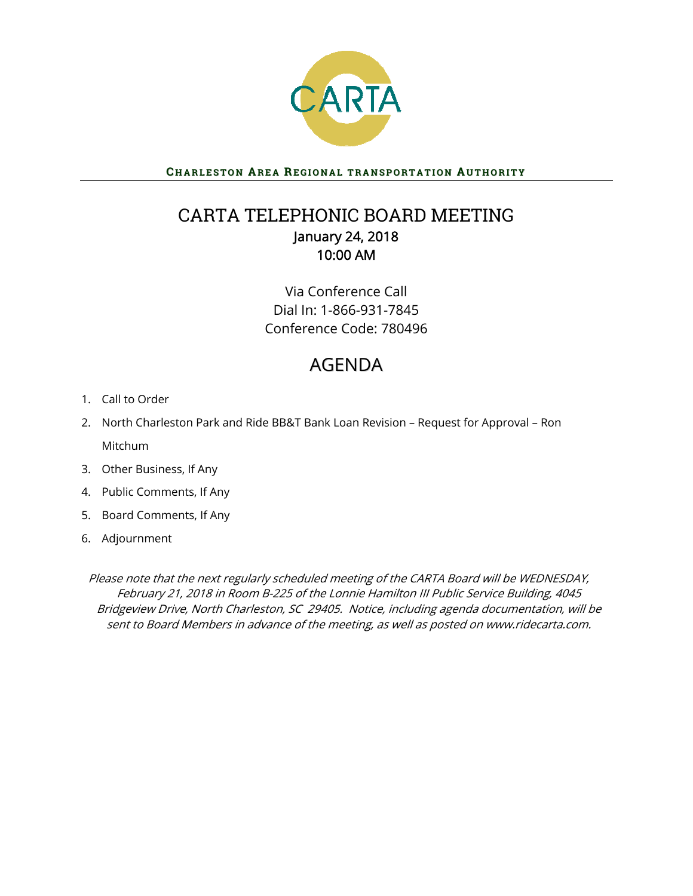

CHARLESTON AREA REGIONAL TRANSPORTATION AUTHORITY

## CARTA TELEPHONIC BOARD MEETING January 24, 2018 10:00 AM

Via Conference Call Dial In: 1-866-931-7845 Conference Code: 780496

# AGENDA

- 1. Call to Order
- 2. North Charleston Park and Ride BB&T Bank Loan Revision Request for Approval Ron Mitchum
- 3. Other Business, If Any
- 4. Public Comments, If Any
- 5. Board Comments, If Any
- 6. Adjournment

Please note that the next regularly scheduled meeting of the CARTA Board will be WEDNESDAY, February 21, 2018 in Room B-225 of the Lonnie Hamilton III Public Service Building, 4045 Bridgeview Drive, North Charleston, SC 29405. Notice, including agenda documentation, will be sent to Board Members in advance of the meeting, as well as posted on www.ridecarta.com.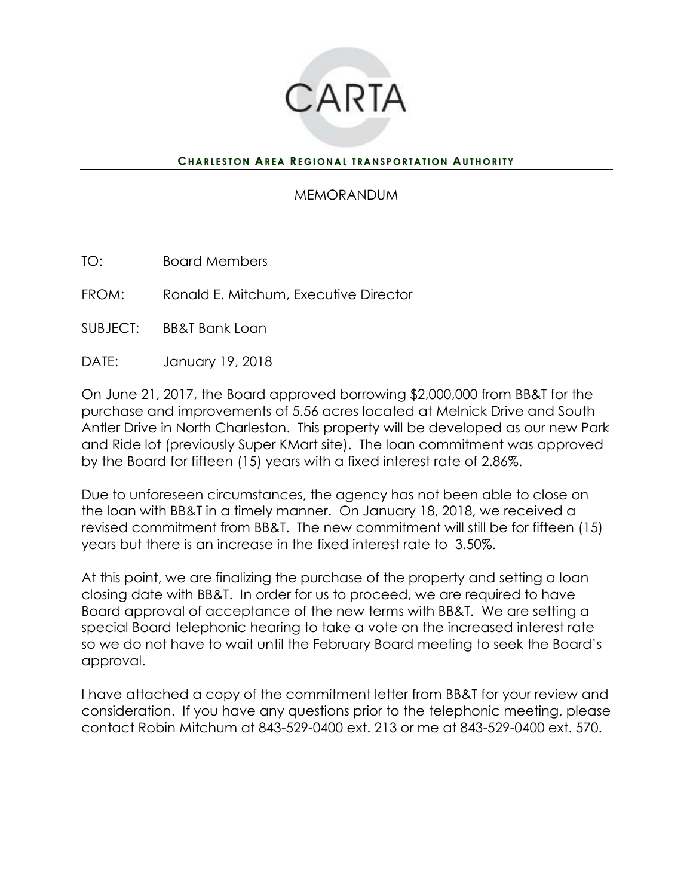

### **CHARLESTON AREA REGIONAL TRANSPORTATION AUTHORITY**

### MEMORANDUM

TO: Board Members

FROM: Ronald E. Mitchum, Executive Director

SUBJECT: BB&T Bank Loan

DATE: January 19, 2018

On June 21, 2017, the Board approved borrowing \$2,000,000 from BB&T for the purchase and improvements of 5.56 acres located at Melnick Drive and South Antler Drive in North Charleston. This property will be developed as our new Park and Ride lot (previously Super KMart site). The loan commitment was approved by the Board for fifteen (15) years with a fixed interest rate of 2.86%.

Due to unforeseen circumstances, the agency has not been able to close on the loan with BB&T in a timely manner. On January 18, 2018, we received a revised commitment from BB&T. The new commitment will still be for fifteen (15) years but there is an increase in the fixed interest rate to 3.50%.

At this point, we are finalizing the purchase of the property and setting a loan closing date with BB&T. In order for us to proceed, we are required to have Board approval of acceptance of the new terms with BB&T. We are setting a special Board telephonic hearing to take a vote on the increased interest rate so we do not have to wait until the February Board meeting to seek the Board's approval.

I have attached a copy of the commitment letter from BB&T for your review and consideration. If you have any questions prior to the telephonic meeting, please contact Robin Mitchum at 843-529-0400 ext. 213 or me at 843-529-0400 ext. 570.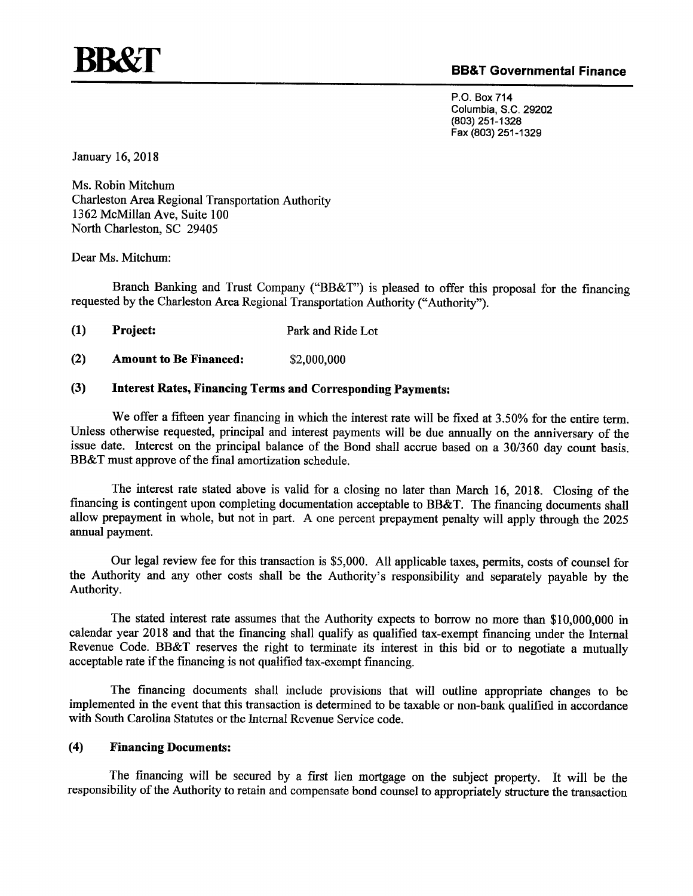

#### **BB&T Governmental Finance**

P.O. Box 714 Columbia, S.C. 29202 (803) 251-1328 Fax (803) 251-1329

January 16, 2018

Ms. Robin Mitchum **Charleston Area Regional Transportation Authority** 1362 McMillan Ave, Suite 100 North Charleston, SC 29405

Dear Ms. Mitchum:

Branch Banking and Trust Company ("BB&T") is pleased to offer this proposal for the financing requested by the Charleston Area Regional Transportation Authority ("Authority").

 $(1)$ Project: Park and Ride Lot

 $(2)$ **Amount to Be Financed:** \$2,000,000

#### **Interest Rates, Financing Terms and Corresponding Payments:**  $(3)$

We offer a fifteen year financing in which the interest rate will be fixed at 3.50% for the entire term. Unless otherwise requested, principal and interest payments will be due annually on the anniversary of the issue date. Interest on the principal balance of the Bond shall accrue based on a 30/360 day count basis. BB&T must approve of the final amortization schedule.

The interest rate stated above is valid for a closing no later than March 16, 2018. Closing of the financing is contingent upon completing documentation acceptable to BB&T. The financing documents shall allow prepayment in whole, but not in part. A one percent prepayment penalty will apply through the 2025 annual payment.

Our legal review fee for this transaction is \$5,000. All applicable taxes, permits, costs of counsel for the Authority and any other costs shall be the Authority's responsibility and separately payable by the Authority.

The stated interest rate assumes that the Authority expects to borrow no more than \$10,000,000 in calendar year 2018 and that the financing shall qualify as qualified tax-exempt financing under the Internal Revenue Code. BB&T reserves the right to terminate its interest in this bid or to negotiate a mutually acceptable rate if the financing is not qualified tax-exempt financing.

The financing documents shall include provisions that will outline appropriate changes to be implemented in the event that this transaction is determined to be taxable or non-bank qualified in accordance with South Carolina Statutes or the Internal Revenue Service code.

#### $(4)$ **Financing Documents:**

The financing will be secured by a first lien mortgage on the subject property. It will be the responsibility of the Authority to retain and compensate bond counsel to appropriately structure the transaction